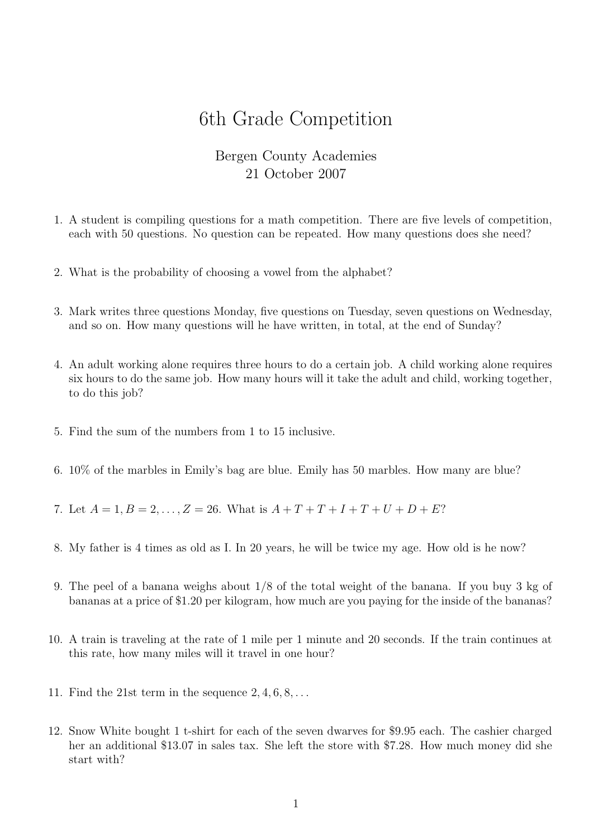## 6th Grade Competition

## Bergen County Academies 21 October 2007

- 1. A student is compiling questions for a math competition. There are five levels of competition, each with 50 questions. No question can be repeated. How many questions does she need?
- 2. What is the probability of choosing a vowel from the alphabet?
- 3. Mark writes three questions Monday, five questions on Tuesday, seven questions on Wednesday, and so on. How many questions will he have written, in total, at the end of Sunday?
- 4. An adult working alone requires three hours to do a certain job. A child working alone requires six hours to do the same job. How many hours will it take the adult and child, working together, to do this job?
- 5. Find the sum of the numbers from 1 to 15 inclusive.
- 6. 10% of the marbles in Emily's bag are blue. Emily has 50 marbles. How many are blue?
- 7. Let  $A = 1, B = 2, ..., Z = 26$ . What is  $A + T + T + I + T + U + D + E$ ?
- 8. My father is 4 times as old as I. In 20 years, he will be twice my age. How old is he now?
- 9. The peel of a banana weighs about 1/8 of the total weight of the banana. If you buy 3 kg of bananas at a price of \$1.20 per kilogram, how much are you paying for the inside of the bananas?
- 10. A train is traveling at the rate of 1 mile per 1 minute and 20 seconds. If the train continues at this rate, how many miles will it travel in one hour?
- 11. Find the 21st term in the sequence  $2, 4, 6, 8, \ldots$
- 12. Snow White bought 1 t-shirt for each of the seven dwarves for \$9.95 each. The cashier charged her an additional \$13.07 in sales tax. She left the store with \$7.28. How much money did she start with?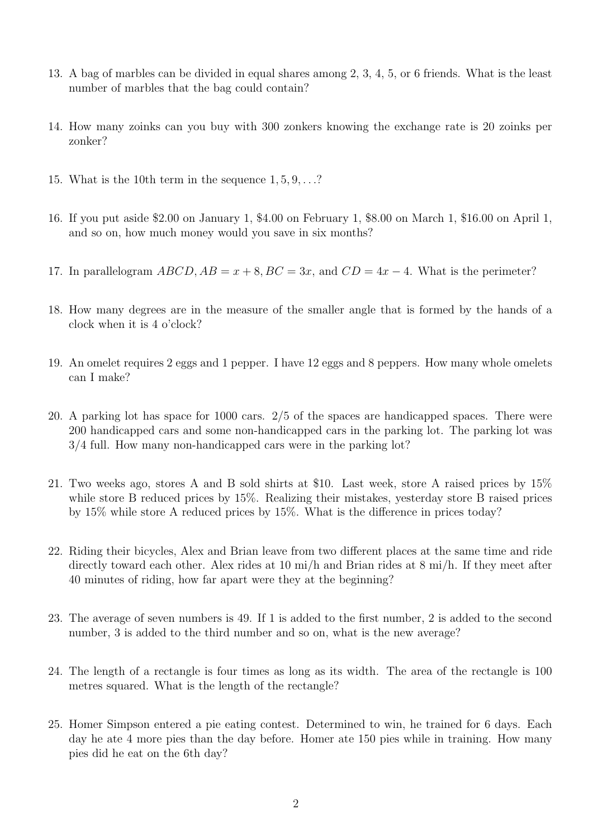- 13. A bag of marbles can be divided in equal shares among 2, 3, 4, 5, or 6 friends. What is the least number of marbles that the bag could contain?
- 14. How many zoinks can you buy with 300 zonkers knowing the exchange rate is 20 zoinks per zonker?
- 15. What is the 10th term in the sequence 1, 5, 9, . . .?
- 16. If you put aside \$2.00 on January 1, \$4.00 on February 1, \$8.00 on March 1, \$16.00 on April 1, and so on, how much money would you save in six months?
- 17. In parallelogram  $ABCD$ ,  $AB = x + 8$ ,  $BC = 3x$ , and  $CD = 4x 4$ . What is the perimeter?
- 18. How many degrees are in the measure of the smaller angle that is formed by the hands of a clock when it is 4 o'clock?
- 19. An omelet requires 2 eggs and 1 pepper. I have 12 eggs and 8 peppers. How many whole omelets can I make?
- 20. A parking lot has space for 1000 cars. 2/5 of the spaces are handicapped spaces. There were 200 handicapped cars and some non-handicapped cars in the parking lot. The parking lot was 3/4 full. How many non-handicapped cars were in the parking lot?
- 21. Two weeks ago, stores A and B sold shirts at \$10. Last week, store A raised prices by 15% while store B reduced prices by 15%. Realizing their mistakes, yesterday store B raised prices by 15% while store A reduced prices by 15%. What is the difference in prices today?
- 22. Riding their bicycles, Alex and Brian leave from two different places at the same time and ride directly toward each other. Alex rides at 10 mi/h and Brian rides at 8 mi/h. If they meet after 40 minutes of riding, how far apart were they at the beginning?
- 23. The average of seven numbers is 49. If 1 is added to the first number, 2 is added to the second number, 3 is added to the third number and so on, what is the new average?
- 24. The length of a rectangle is four times as long as its width. The area of the rectangle is 100 metres squared. What is the length of the rectangle?
- 25. Homer Simpson entered a pie eating contest. Determined to win, he trained for 6 days. Each day he ate 4 more pies than the day before. Homer ate 150 pies while in training. How many pies did he eat on the 6th day?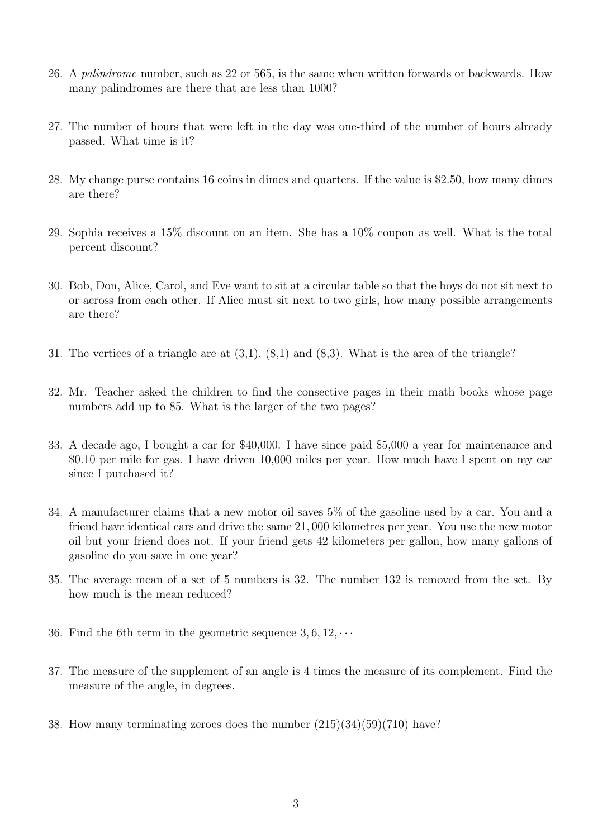- 26. A palindrome number, such as 22 or 565, is the same when written forwards or backwards. How many palindromes are there that are less than 1000?
- 27. The number of hours that were left in the day was one-third of the number of hours already passed. What time is it?
- 28. My change purse contains 16 coins in dimes and quarters. If the value is \$2.50, how many dimes are there?
- 29. Sophia receives a 15% discount on an item. She has a 10% coupon as well. What is the total percent discount?
- 30. Bob, Don, Alice, Carol, and Eve want to sit at a circular table so that the boys do not sit next to or across from each other. If Alice must sit next to two girls, how many possible arrangements are there?
- 31. The vertices of a triangle are at (3,1), (8,1) and (8,3). What is the area of the triangle?
- 32. Mr. Teacher asked the children to find the consective pages in their math books whose page numbers add up to 85. What is the larger of the two pages?
- 33. A decade ago, I bought a car for \$40,000. I have since paid \$5,000 a year for maintenance and \$0.10 per mile for gas. I have driven 10,000 miles per year. How much have I spent on my car since I purchased it?
- 34. A manufacturer claims that a new motor oil saves 5% of the gasoline used by a car. You and a friend have identical cars and drive the same 21, 000 kilometres per year. You use the new motor oil but your friend does not. If your friend gets 42 kilometers per gallon, how many gallons of gasoline do you save in one year?
- 35. The average mean of a set of 5 numbers is 32. The number 132 is removed from the set. By how much is the mean reduced?
- 36. Find the 6th term in the geometric sequence  $3, 6, 12, \cdots$
- 37. The measure of the supplement of an angle is 4 times the measure of its complement. Find the measure of the angle, in degrees.
- 38. How many terminating zeroes does the number (215)(34)(59)(710) have?